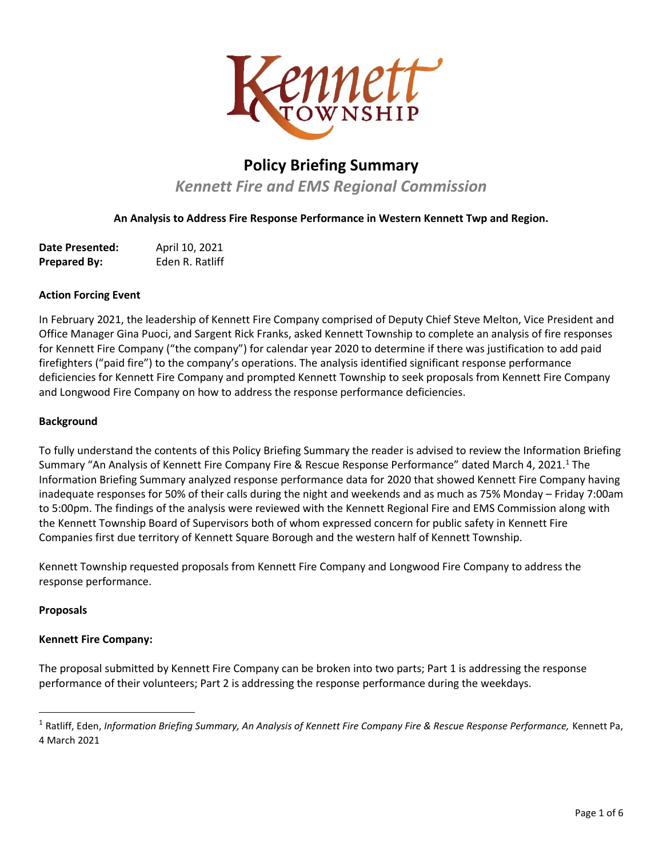

# **Policy Briefing Summary**

*Kennett Fire and EMS Regional Commission* 

**An Analysis to Address Fire Response Performance in Western Kennett Twp and Region.**

| <b>Date Presented:</b> | April 10, 2021  |
|------------------------|-----------------|
| <b>Prepared By:</b>    | Eden R. Ratliff |

#### **Action Forcing Event**

In February 2021, the leadership of Kennett Fire Company comprised of Deputy Chief Steve Melton, Vice President and Office Manager Gina Puoci, and Sargent Rick Franks, asked Kennett Township to complete an analysis of fire responses for Kennett Fire Company ("the company") for calendar year 2020 to determine if there was justification to add paid firefighters ("paid fire") to the company's operations. The analysis identified significant response performance deficiencies for Kennett Fire Company and prompted Kennett Township to seek proposals from Kennett Fire Company and Longwood Fire Company on how to address the response performance deficiencies.

#### **Background**

To fully understand the contents of this Policy Briefing Summary the reader is advised to review the Information Briefing Summary "An Analysis of Kennett Fire Company Fire & Rescue Response Performance" dated March 4, 2021.<sup>1</sup> The Information Briefing Summary analyzed response performance data for 2020 that showed Kennett Fire Company having inadequate responses for 50% of their calls during the night and weekends and as much as 75% Monday – Friday 7:00am to 5:00pm. The findings of the analysis were reviewed with the Kennett Regional Fire and EMS Commission along with the Kennett Township Board of Supervisors both of whom expressed concern for public safety in Kennett Fire Companies first due territory of Kennett Square Borough and the western half of Kennett Township.

Kennett Township requested proposals from Kennett Fire Company and Longwood Fire Company to address the response performance.

#### **Proposals**

#### **Kennett Fire Company:**

The proposal submitted by Kennett Fire Company can be broken into two parts; Part 1 is addressing the response performance of their volunteers; Part 2 is addressing the response performance during the weekdays.

<sup>1</sup> Ratliff, Eden, *Information Briefing Summary, An Analysis of Kennett Fire Company Fire & Rescue Response Performance,* Kennett Pa, 4 March 2021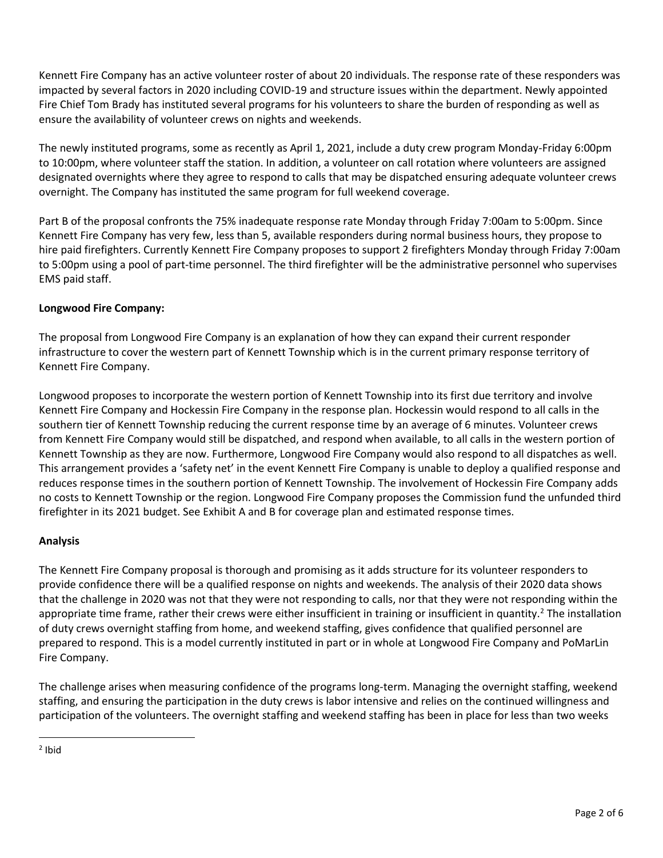Kennett Fire Company has an active volunteer roster of about 20 individuals. The response rate of these responders was impacted by several factors in 2020 including COVID-19 and structure issues within the department. Newly appointed Fire Chief Tom Brady has instituted several programs for his volunteers to share the burden of responding as well as ensure the availability of volunteer crews on nights and weekends.

The newly instituted programs, some as recently as April 1, 2021, include a duty crew program Monday-Friday 6:00pm to 10:00pm, where volunteer staff the station. In addition, a volunteer on call rotation where volunteers are assigned designated overnights where they agree to respond to calls that may be dispatched ensuring adequate volunteer crews overnight. The Company has instituted the same program for full weekend coverage.

Part B of the proposal confronts the 75% inadequate response rate Monday through Friday 7:00am to 5:00pm. Since Kennett Fire Company has very few, less than 5, available responders during normal business hours, they propose to hire paid firefighters. Currently Kennett Fire Company proposes to support 2 firefighters Monday through Friday 7:00am to 5:00pm using a pool of part-time personnel. The third firefighter will be the administrative personnel who supervises EMS paid staff.

## **Longwood Fire Company:**

The proposal from Longwood Fire Company is an explanation of how they can expand their current responder infrastructure to cover the western part of Kennett Township which is in the current primary response territory of Kennett Fire Company.

Longwood proposes to incorporate the western portion of Kennett Township into its first due territory and involve Kennett Fire Company and Hockessin Fire Company in the response plan. Hockessin would respond to all calls in the southern tier of Kennett Township reducing the current response time by an average of 6 minutes. Volunteer crews from Kennett Fire Company would still be dispatched, and respond when available, to all calls in the western portion of Kennett Township as they are now. Furthermore, Longwood Fire Company would also respond to all dispatches as well. This arrangement provides a 'safety net' in the event Kennett Fire Company is unable to deploy a qualified response and reduces response times in the southern portion of Kennett Township. The involvement of Hockessin Fire Company adds no costs to Kennett Township or the region. Longwood Fire Company proposes the Commission fund the unfunded third firefighter in its 2021 budget. See Exhibit A and B for coverage plan and estimated response times.

#### **Analysis**

The Kennett Fire Company proposal is thorough and promising as it adds structure for its volunteer responders to provide confidence there will be a qualified response on nights and weekends. The analysis of their 2020 data shows that the challenge in 2020 was not that they were not responding to calls, nor that they were not responding within the appropriate time frame, rather their crews were either insufficient in training or insufficient in quantity.<sup>2</sup> The installation of duty crews overnight staffing from home, and weekend staffing, gives confidence that qualified personnel are prepared to respond. This is a model currently instituted in part or in whole at Longwood Fire Company and PoMarLin Fire Company.

The challenge arises when measuring confidence of the programs long-term. Managing the overnight staffing, weekend staffing, and ensuring the participation in the duty crews is labor intensive and relies on the continued willingness and participation of the volunteers. The overnight staffing and weekend staffing has been in place for less than two weeks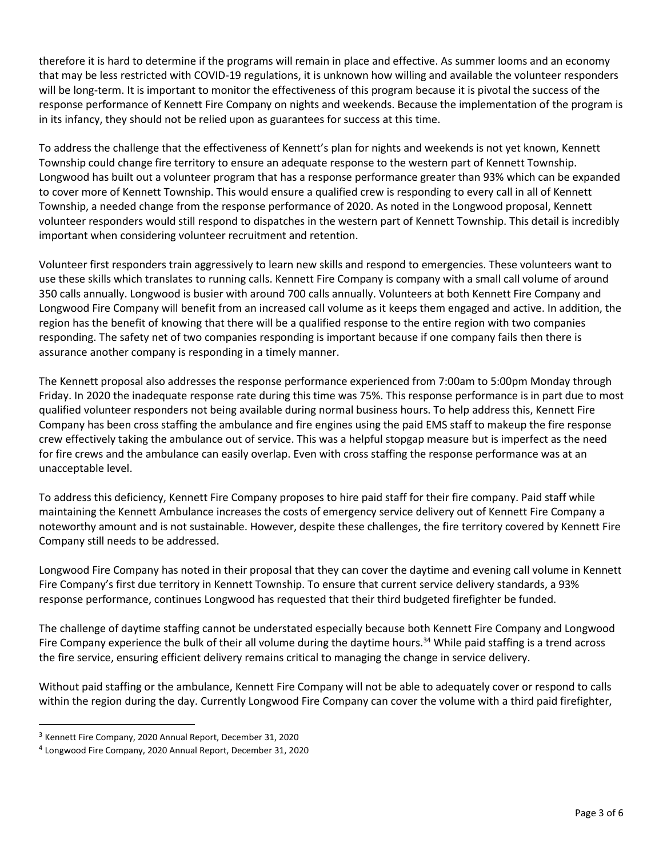therefore it is hard to determine if the programs will remain in place and effective. As summer looms and an economy that may be less restricted with COVID-19 regulations, it is unknown how willing and available the volunteer responders will be long-term. It is important to monitor the effectiveness of this program because it is pivotal the success of the response performance of Kennett Fire Company on nights and weekends. Because the implementation of the program is in its infancy, they should not be relied upon as guarantees for success at this time.

To address the challenge that the effectiveness of Kennett's plan for nights and weekends is not yet known, Kennett Township could change fire territory to ensure an adequate response to the western part of Kennett Township. Longwood has built out a volunteer program that has a response performance greater than 93% which can be expanded to cover more of Kennett Township. This would ensure a qualified crew is responding to every call in all of Kennett Township, a needed change from the response performance of 2020. As noted in the Longwood proposal, Kennett volunteer responders would still respond to dispatches in the western part of Kennett Township. This detail is incredibly important when considering volunteer recruitment and retention.

Volunteer first responders train aggressively to learn new skills and respond to emergencies. These volunteers want to use these skills which translates to running calls. Kennett Fire Company is company with a small call volume of around 350 calls annually. Longwood is busier with around 700 calls annually. Volunteers at both Kennett Fire Company and Longwood Fire Company will benefit from an increased call volume as it keeps them engaged and active. In addition, the region has the benefit of knowing that there will be a qualified response to the entire region with two companies responding. The safety net of two companies responding is important because if one company fails then there is assurance another company is responding in a timely manner.

The Kennett proposal also addresses the response performance experienced from 7:00am to 5:00pm Monday through Friday. In 2020 the inadequate response rate during this time was 75%. This response performance is in part due to most qualified volunteer responders not being available during normal business hours. To help address this, Kennett Fire Company has been cross staffing the ambulance and fire engines using the paid EMS staff to makeup the fire response crew effectively taking the ambulance out of service. This was a helpful stopgap measure but is imperfect as the need for fire crews and the ambulance can easily overlap. Even with cross staffing the response performance was at an unacceptable level.

To address this deficiency, Kennett Fire Company proposes to hire paid staff for their fire company. Paid staff while maintaining the Kennett Ambulance increases the costs of emergency service delivery out of Kennett Fire Company a noteworthy amount and is not sustainable. However, despite these challenges, the fire territory covered by Kennett Fire Company still needs to be addressed.

Longwood Fire Company has noted in their proposal that they can cover the daytime and evening call volume in Kennett Fire Company's first due territory in Kennett Township. To ensure that current service delivery standards, a 93% response performance, continues Longwood has requested that their third budgeted firefighter be funded.

The challenge of daytime staffing cannot be understated especially because both Kennett Fire Company and Longwood Fire Company experience the bulk of their all volume during the daytime hours.<sup>34</sup> While paid staffing is a trend across the fire service, ensuring efficient delivery remains critical to managing the change in service delivery.

Without paid staffing or the ambulance, Kennett Fire Company will not be able to adequately cover or respond to calls within the region during the day. Currently Longwood Fire Company can cover the volume with a third paid firefighter,

<sup>3</sup> Kennett Fire Company, 2020 Annual Report, December 31, 2020

<sup>4</sup> Longwood Fire Company, 2020 Annual Report, December 31, 2020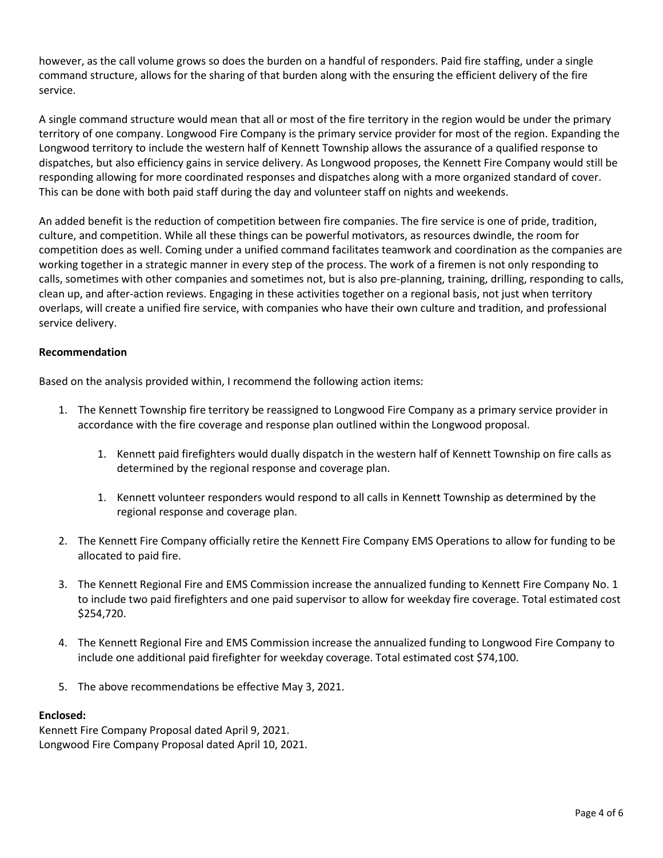however, as the call volume grows so does the burden on a handful of responders. Paid fire staffing, under a single command structure, allows for the sharing of that burden along with the ensuring the efficient delivery of the fire service.

A single command structure would mean that all or most of the fire territory in the region would be under the primary territory of one company. Longwood Fire Company is the primary service provider for most of the region. Expanding the Longwood territory to include the western half of Kennett Township allows the assurance of a qualified response to dispatches, but also efficiency gains in service delivery. As Longwood proposes, the Kennett Fire Company would still be responding allowing for more coordinated responses and dispatches along with a more organized standard of cover. This can be done with both paid staff during the day and volunteer staff on nights and weekends.

An added benefit is the reduction of competition between fire companies. The fire service is one of pride, tradition, culture, and competition. While all these things can be powerful motivators, as resources dwindle, the room for competition does as well. Coming under a unified command facilitates teamwork and coordination as the companies are working together in a strategic manner in every step of the process. The work of a firemen is not only responding to calls, sometimes with other companies and sometimes not, but is also pre-planning, training, drilling, responding to calls, clean up, and after-action reviews. Engaging in these activities together on a regional basis, not just when territory overlaps, will create a unified fire service, with companies who have their own culture and tradition, and professional service delivery.

### **Recommendation**

Based on the analysis provided within, I recommend the following action items:

- 1. The Kennett Township fire territory be reassigned to Longwood Fire Company as a primary service provider in accordance with the fire coverage and response plan outlined within the Longwood proposal.
	- 1. Kennett paid firefighters would dually dispatch in the western half of Kennett Township on fire calls as determined by the regional response and coverage plan.
	- 1. Kennett volunteer responders would respond to all calls in Kennett Township as determined by the regional response and coverage plan.
- 2. The Kennett Fire Company officially retire the Kennett Fire Company EMS Operations to allow for funding to be allocated to paid fire.
- 3. The Kennett Regional Fire and EMS Commission increase the annualized funding to Kennett Fire Company No. 1 to include two paid firefighters and one paid supervisor to allow for weekday fire coverage. Total estimated cost \$254,720.
- 4. The Kennett Regional Fire and EMS Commission increase the annualized funding to Longwood Fire Company to include one additional paid firefighter for weekday coverage. Total estimated cost \$74,100.
- 5. The above recommendations be effective May 3, 2021.

#### **Enclosed:**

Kennett Fire Company Proposal dated April 9, 2021. Longwood Fire Company Proposal dated April 10, 2021.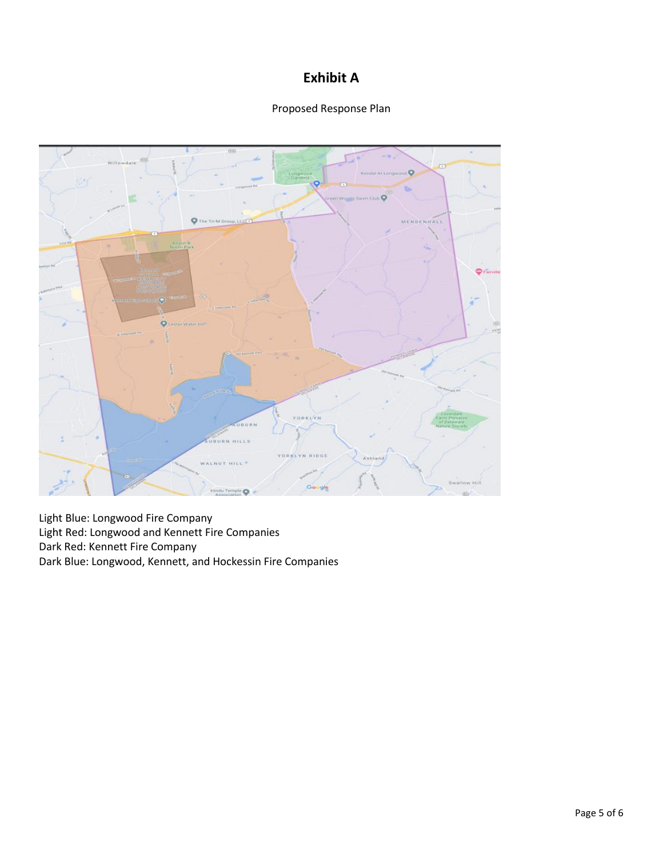# **Exhibit A**





Light Blue: Longwood Fire Company Light Red: Longwood and Kennett Fire Companies Dark Red: Kennett Fire Company Dark Blue: Longwood, Kennett, and Hockessin Fire Companies